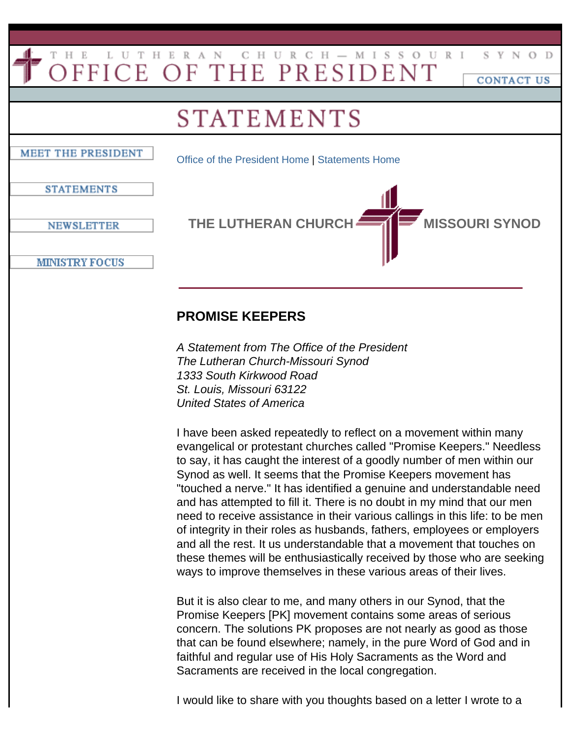## THE LUTHERAN CHURCH-MISSOURI<br>OFFICE OF THE PRESIDENT S Y N O D CONTACT US **STATEMENTS** MEET THE PRESIDENT [Office of the President Home](http://old.www.lcms.org/president/index.asp) | [Statements Home](http://old.www.lcms.org/president/statements.asp) **STATEMENTS** THE LUTHERAN CHURCH **MISSOURI SYNOD NEWSLETTER MINISTRY FOCUS**

## **PROMISE KEEPERS**

*A Statement from The Office of the President The Lutheran Church-Missouri Synod 1333 South Kirkwood Road St. Louis, Missouri 63122 United States of America*

I have been asked repeatedly to reflect on a movement within many evangelical or protestant churches called "Promise Keepers." Needless to say, it has caught the interest of a goodly number of men within our Synod as well. It seems that the Promise Keepers movement has "touched a nerve." It has identified a genuine and understandable need and has attempted to fill it. There is no doubt in my mind that our men need to receive assistance in their various callings in this life: to be men of integrity in their roles as husbands, fathers, employees or employers and all the rest. It us understandable that a movement that touches on these themes will be enthusiastically received by those who are seeking ways to improve themselves in these various areas of their lives.

But it is also clear to me, and many others in our Synod, that the Promise Keepers [PK] movement contains some areas of serious concern. The solutions PK proposes are not nearly as good as those that can be found elsewhere; namely, in the pure Word of God and in faithful and regular use of His Holy Sacraments as the Word and Sacraments are received in the local congregation.

I would like to share with you thoughts based on a letter I wrote to a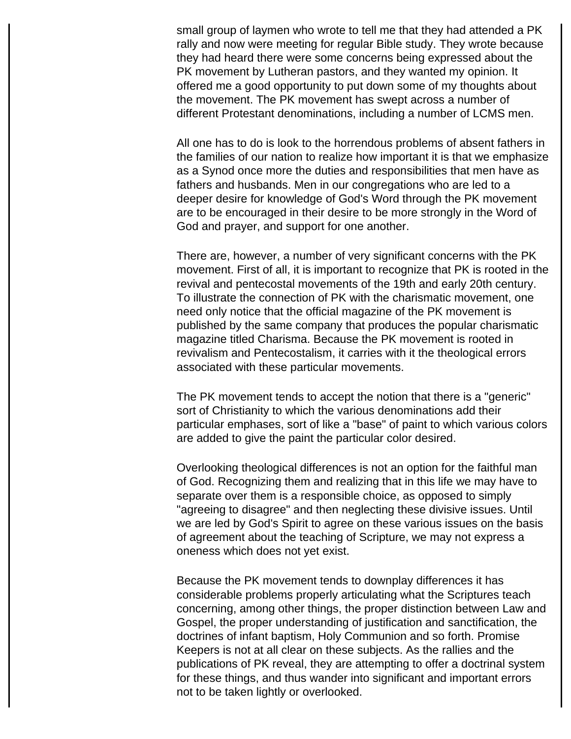small group of laymen who wrote to tell me that they had attended a PK rally and now were meeting for regular Bible study. They wrote because they had heard there were some concerns being expressed about the PK movement by Lutheran pastors, and they wanted my opinion. It offered me a good opportunity to put down some of my thoughts about the movement. The PK movement has swept across a number of different Protestant denominations, including a number of LCMS men.

All one has to do is look to the horrendous problems of absent fathers in the families of our nation to realize how important it is that we emphasize as a Synod once more the duties and responsibilities that men have as fathers and husbands. Men in our congregations who are led to a deeper desire for knowledge of God's Word through the PK movement are to be encouraged in their desire to be more strongly in the Word of God and prayer, and support for one another.

There are, however, a number of very significant concerns with the PK movement. First of all, it is important to recognize that PK is rooted in the revival and pentecostal movements of the 19th and early 20th century. To illustrate the connection of PK with the charismatic movement, one need only notice that the official magazine of the PK movement is published by the same company that produces the popular charismatic magazine titled Charisma. Because the PK movement is rooted in revivalism and Pentecostalism, it carries with it the theological errors associated with these particular movements.

The PK movement tends to accept the notion that there is a "generic" sort of Christianity to which the various denominations add their particular emphases, sort of like a "base" of paint to which various colors are added to give the paint the particular color desired.

Overlooking theological differences is not an option for the faithful man of God. Recognizing them and realizing that in this life we may have to separate over them is a responsible choice, as opposed to simply "agreeing to disagree" and then neglecting these divisive issues. Until we are led by God's Spirit to agree on these various issues on the basis of agreement about the teaching of Scripture, we may not express a oneness which does not yet exist.

Because the PK movement tends to downplay differences it has considerable problems properly articulating what the Scriptures teach concerning, among other things, the proper distinction between Law and Gospel, the proper understanding of justification and sanctification, the doctrines of infant baptism, Holy Communion and so forth. Promise Keepers is not at all clear on these subjects. As the rallies and the publications of PK reveal, they are attempting to offer a doctrinal system for these things, and thus wander into significant and important errors not to be taken lightly or overlooked.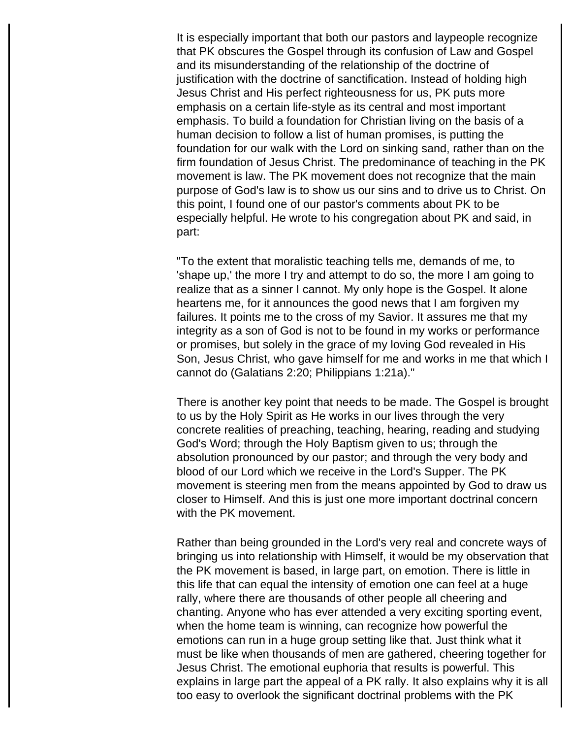It is especially important that both our pastors and laypeople recognize that PK obscures the Gospel through its confusion of Law and Gospel and its misunderstanding of the relationship of the doctrine of justification with the doctrine of sanctification. Instead of holding high Jesus Christ and His perfect righteousness for us, PK puts more emphasis on a certain life-style as its central and most important emphasis. To build a foundation for Christian living on the basis of a human decision to follow a list of human promises, is putting the foundation for our walk with the Lord on sinking sand, rather than on the firm foundation of Jesus Christ. The predominance of teaching in the PK movement is law. The PK movement does not recognize that the main purpose of God's law is to show us our sins and to drive us to Christ. On this point, I found one of our pastor's comments about PK to be especially helpful. He wrote to his congregation about PK and said, in part:

"To the extent that moralistic teaching tells me, demands of me, to 'shape up,' the more I try and attempt to do so, the more I am going to realize that as a sinner I cannot. My only hope is the Gospel. It alone heartens me, for it announces the good news that I am forgiven my failures. It points me to the cross of my Savior. It assures me that my integrity as a son of God is not to be found in my works or performance or promises, but solely in the grace of my loving God revealed in His Son, Jesus Christ, who gave himself for me and works in me that which I cannot do (Galatians 2:20; Philippians 1:21a)."

There is another key point that needs to be made. The Gospel is brought to us by the Holy Spirit as He works in our lives through the very concrete realities of preaching, teaching, hearing, reading and studying God's Word; through the Holy Baptism given to us; through the absolution pronounced by our pastor; and through the very body and blood of our Lord which we receive in the Lord's Supper. The PK movement is steering men from the means appointed by God to draw us closer to Himself. And this is just one more important doctrinal concern with the PK movement.

Rather than being grounded in the Lord's very real and concrete ways of bringing us into relationship with Himself, it would be my observation that the PK movement is based, in large part, on emotion. There is little in this life that can equal the intensity of emotion one can feel at a huge rally, where there are thousands of other people all cheering and chanting. Anyone who has ever attended a very exciting sporting event, when the home team is winning, can recognize how powerful the emotions can run in a huge group setting like that. Just think what it must be like when thousands of men are gathered, cheering together for Jesus Christ. The emotional euphoria that results is powerful. This explains in large part the appeal of a PK rally. It also explains why it is all too easy to overlook the significant doctrinal problems with the PK